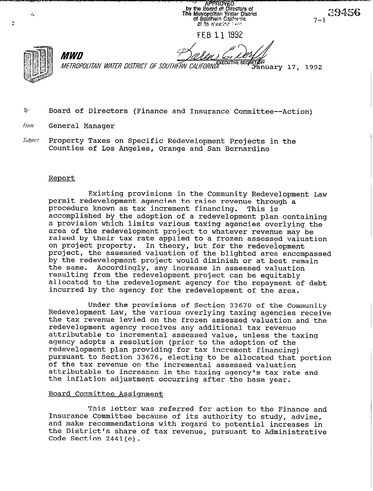**APPROVED** by the Board of Directors of<br>The Metropolitan Water District<br>of Sputnern California 銀 Its inteeling Delig

 $39456$ 

FEB 11 1992

 $\mathcal{C}_\bullet$ 

Ž.

*MEJ~OPOMliV WATER DISJRICJ OF SOUJHE,% CAIIFORIVI~~~~~~~~ 8ECP%i~~ary* **17 ,** 1992

- $\bar{b}$ . Board of Directors (Finance and Insurance Committee--Action)
- from, **General Manager**

*MWD* 

Subject: Property Taxes on Specific Redevelopment Projects in the **Counties of Los Angeles, Orange and San Bernardino** 

#### **Report**

**Existing provisions in the Community Redevelopment Law permit redevelopment agencies to raise revenue through a**  procedure known as tax increment financing. **accomplished by the adoption of a redevelopment plan containing a provision which limits various taxing agencies overlying the area of the redevelopment project to whatever revenue may be raised by their tax rate applied to a frozen assessed valuation on project property. In theory, but for the redevelopment project, the assessed valuation of the blighted area encompassed by the redevelopment project would diminish or at best remain the same. Accordingly, any increase in assessed valuation resulting from the redevelopment project can be equitably allocated to the redevelopment agency for the repayment of debt incurred by the agency for the redevelopment of the area.** 

**Under the provisions of Section 33670 of the Community Redevelopment Law, the various overlying taxing agencies receive the tax revenue levied on the frozen assessed valuation and the redevelopment agency receives any additional tax revenue attributable to incremental assessed value, unless the taxing agency adopts a resolution (prior to the adoption of the redevelopment plan providing for tax increment financing) pursuant to Section 33676, electing to be allocated that portion of the tax revenue on the incremental assessed valuation attributable to increases in the taxing agency's tax rate and the inflation adjustment occurring after the base year.** 

### **Board Committee Assignment**

**This letter was referred for action to the Finance and Insurance Committee because of its authority to study, advise, and make recommendations with regard to potential increases in the District's share of tax revenue, pursuant to Administrative Code Section 2441(e).**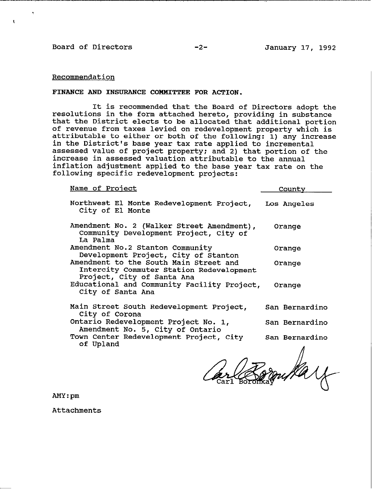### **Board of Directors -2- January 17, 1992**

## **Recommendation**

#### FINANCE AND INSURANCE COMMITTEE FOR ACTION.

**It is recommended that the Board of Directors adopt the resolutions in the form attached hereto, providing in substance that the District elects to be allocated that additional portion of revenue from taxes levied on redevelopment property which is attributable to either or both of the following: 1) any increase in the District's base year tax rate applied to incremental assessed value of project property; and 2) that portion of the increase in assessed valuation attributable to the annual inflation adjustment applied to the base year tax rate on the following specific redevelopment projects:** 

**Name of Project County** 

| Northwest El Monte Redevelopment Project, Los Angeles<br>City of El Monte                                        |                |
|------------------------------------------------------------------------------------------------------------------|----------------|
| Amendment No. 2 (Walker Street Amendment),<br>Community Development Project, City of<br>La Palma                 | Orange         |
| Amendment No.2 Stanton Community<br>Development Project, City of Stanton                                         | Orange         |
| Amendment to the South Main Street and<br>Intercity Commuter Station Redevelopment<br>Project, City of Santa Ana | Orange         |
| Educational and Community Facility Project,<br>City of Santa Ana                                                 | Orange         |
| Main Street South Redevelopment Project,<br>City of Corona                                                       | San Bernardino |
| Ontario Redevelopment Project No. 1,<br>Amendment No. 5, City of Ontario                                         | San Bernardino |
| Town Center Redevelopment Project, City<br>of Upland                                                             | San Bernardino |

**Compary** 

**AMY:pm** 

**Attachments**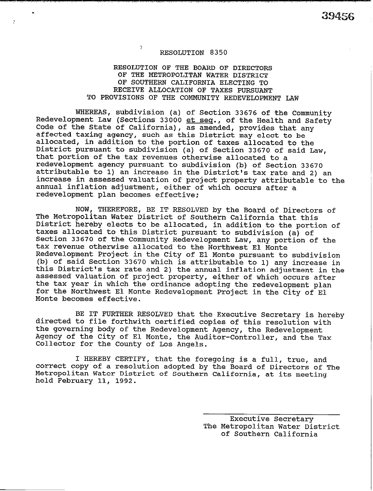÷

### RESOLUTION OF THE BOARD OF DIRECTORS OF THE METROPOLITAN WATER DISTRICT OF SOUTHERN CALIFORNIA ELECTING TO RECEIVE ALLOCATION OF TAXES PURSUANT TO PROVISIONS OF THE COMMUNITY REDEVELOPMENT LAW

WHEREAS, subdivision (a) of Section 33676 of the Community Redevelopment Law (Sections 33000 <u>et seq</u>., of the Health and Safety Code of the State of California), as amended, provides that any affected taxing agency, such as this District may elect to be allocated, in addition to the portion of taxes allocated to the District pursuant to subdivision (a) of Section 33670 of said Law, that portion of the tax revenues otherwise allocated to a redevelopment agency pursuant to subdivision (b) of Section 33670 attributable to 1) an increase in the District's tax rate and 2) an increase in assessed valuation of project property attributable to the annual inflation adjustment, either of which occurs after a redevelopment plan becomes effective;

NOW, THEREFORE, BE IT RESOLVED by the Board of Directors of The Metropolitan Water District of Southern California that this District hereby elects to be allocated, in addition to the portion of taxes allocated to this District pursuant to subdivision (a) of Section 33670 of the Community Redevelopment Law, any portion of the tax revenue otherwise allocated to the Northwest El Monte Redevelopment Project in the City of El Monte pursuant to subdivision (b) of said Section 33670 which is attributable to 1) any increase in this District's tax rate and 2) the annual inflation adjustment in the assessed valuation of project property, either of which occurs after the tax year in which the ordinance adopting the redevelopment plan for the Northwest El Monte Redevelopment Project in the City of El Monte becomes effective.

BE IT FURTHER RESOLVED that the Executive Secretary is hereby directed to file forthwith certified copies of this resolution with the governing body of the Redevelopment Agency, the Redevelopment Agency of the City of El Monte, the Auditor-Controller, and the Tax Collector for the County of Los Angels.

I HEREBY CERTIFY, that the foregoing is a full, true, and correct copy of a resolution adopted by the Board of Directors of The Metropolitan Water District of Southern California, at its meeting held February 11, 1992.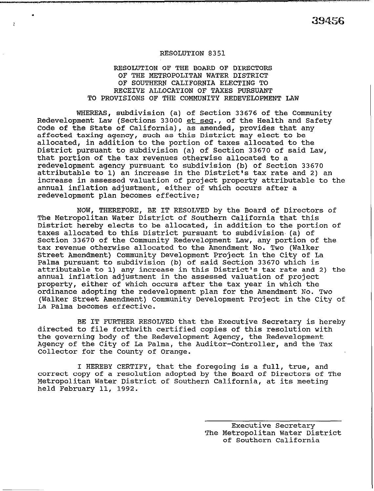.

# RESOLUTION OF THE BOARD OF DIRECTORS OF THE METROPOLITAN WATER DISTRICT OF SOUTHERN CALIFORNIA ELECTING TO RECEIVE ALLOCATION OF TAXES PURSUANT TO PROVISIONS OF THE COMMUNITY REDEVELOPMENT LAW

WHEREAS, subdivision (a) of Section 33676 of the Community Redevelopment Law (Sections 33000 et seq., of the Health and Safety Code of the State of California), as amended, provides that any affected taxing agency, such as this District may elect to be allocated, in addition to the portion of taxes allocated to the District pursuant to subdivision (a) of Section 33670 of said Law, that portion of the tax revenues otherwise allocated to a redevelopment agency pursuant to subdivision (b) of Section 33670 attributable to 1) an increase in the District's tax rate and 2) an increase in assessed valuation of project property attributable to the annual inflation adjustment, either of which occurs after a redevelopment plan becomes effective;

NOW, THEREFORE, BE IT RESOLVED by the Board of Directors of The Metropolitan Water District of Southern California that this District hereby elects to be allocated, in addition to the portion of taxes allocated to this District pursuant to subdivision, (a) of Section 33670 of the Community Redevelopment Law, any portion of the tax revenue otherwise allocated to the Amendment No. Two (Walker Street Amendment) Community Development Project in the City of La Palma pursuant to subdivision (b) of said Section 33670 which is attributable to 1) any increase in this District's tax rate and 2) the annual inflation adjustment in the assessed valuation of project property, either of which occurs after the tax year in which the ordinance adopting the redevelopment plan for the Amendment No. Two (Walker Street Amendment) Community Development Project in the City of La Palma becomes effective.

BE IT FURTHER RESOLVED that the Executive Secretary is hereby directed to file forthwith certified copies of this resolution with the governing body of the Redevelopment Agency, the Redevelopment Agency of the City of La Palma, the Auditor-Controller, and the Tax Collector for the County of Orange.

I HEREBY CERTIFY, that the foregoing is a full, true, and correct copy of a resolution adopted by the Board of Directors of The Metropolitan Water District of Southern California, at its meeting held February 11, 1992.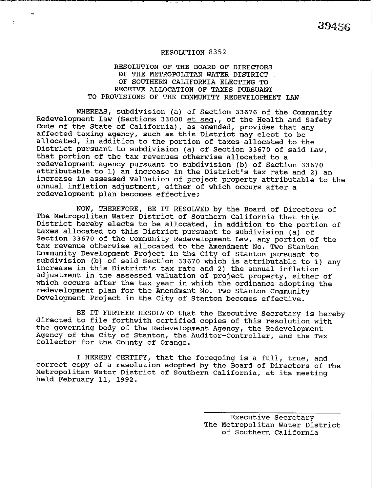## RESOLUTION OF THE BOARD OF DIRECTORS OF THE METROPOLITAN WATER DISTRICT OF SOUTHERN CALIFORNIA ELECTING TO RECEIVE ALLOCATION OF TAXES PURSUANT TO PROVISIONS OF THE COMMUNITY REDEVELOPMENT LAW

WHEREAS, subdivision (a) of Section 33676 of the Community Redevelopment Law (Sections 33000 et seq., of the Health and Safety Code of the State of California), as amended, provides that any affected taxing agency, such as this District may elect to be allocated, in addition to the portion of taxes allocated to the District pursuant to subdivision (a) of Section 33670 of said Law, that portion of the tax revenues otherwise allocated to a redevelopment agency pursuant to subdivision (b) of Section 33670 attributable to 1) an increase in the District's tax rate and 2) an increase in assessed valuation of project property attributable to the annual inflation adjustment, either of which occurs after a redevelopment plan becomes effective:

NOW, THEREFORE, BE IT RESOLVED by the Board of Directors of The Metropolitan Water District of Southern California that this District hereby elects to be allocated, in addition to the portion of taxes allocated to this District pursuant to subdivision (a) of Section 33670 of the Community Redevelopment Law, any portion of the tax revenue otherwise allocated to the Amendment No. Two Stanton Community Development Project in the City of Stanton pursuant to subdivision (b) of said Section 33670 which is attributable to 1) any increase in this District's tax rate and 2) the annual inflation adjustment in the assessed valuation of project property, either of which occurs after the tax year in which the ordinance adopting the redevelopment plan for the Amendment No. Two Stanton Community Development Project in the City of Stanton becomes effective.

BE IT FURTHER RESOLVED that the Executive Secretary is hereby directed to file forthwith certified copies of this resolution with the governing body of the Redevelopment Agency, the Redevelopment Agency of the City of Stanton, the Auditor-Controller, and the Tax Collector for the County of Orange.

I HEREBY CERTIFY, that the foregoing is a full, true, and correct copy of a resolution adopted by the Board of Directors of The Metropolitan Water District of Southern California, at its meeting held February 11, 1992.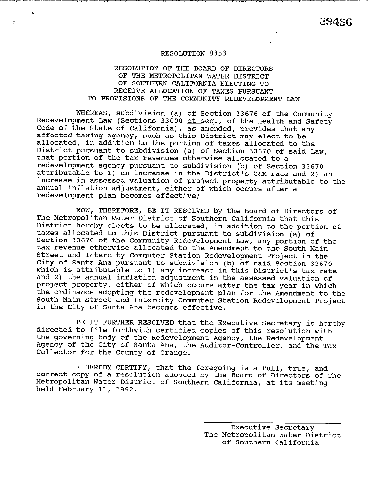# RESOLUTION OF THE BOARD OF DIRECTORS OF THE METROPOLITAN WATER DISTRICT OF SOUTHERN CALIFORNIA ELECTING TO RECEIVE ALLOCATION OF TAXES PURSUANT TO PROVISIONS OF THE COMMUNITY REDEVELOPMENT LAW

WHEREAS, subdivision (a) of Section 33676 of the Community Redevelopment Law (Sections 33000  $et$  seq., of the Health and Safety Code of the State of California), as amended, provides that any affected taxing agency, such as this District may elect to be allocated, in addition to the portion of taxes allocated to the District pursuant to subdivision (a) of Section 33670 of said Law, that portion of the tax revenues otherwise allocated to a redevelopment agency pursuant to subdivision (b) of Section 33670 attributable to 1) an increase in the District's tax rate and 2) an increase in assessed valuation of project property attributable to the annual inflation adjustment, either of which occurs after a redevelopment plan becomes effective:

NOW, THEREFORE, BE IT RESOLVED by the Board of Directors of The Metropolitan Water District of Southern California that this District hereby elects to be allocated, in addition to the portion of taxes allocated to this District pursuant to subdivision (a) of Section 33670 of the Community Redevelopment Law, any portion of the tax revenue otherwise allocated to the Amendment to the South Main Street and Intercity Commuter Station Redevelopment Project in the City of Santa Ana pursuant to subdivision (b) of said Section 33670 which is attributable to 1) any increase in this District's tax rate and 2) the annual inflation adjustment in the assessed valuation of project property, either of which occurs after the tax year in which the ordinance adopting the redevelopment plan for the Amendment to the South Main Street and Intercity Commuter Station Redevelopment Project in the City of Santa Ana becomes effective.

BE IT FURTHER RESOLVED that the Executive Secretary is hereby directed to file forthwith certified copies of this resolution with the governing body of the Redevelopment Agency, the Redevelopment Agency of the City of Santa Ana, the Auditor-Controller, and the Tax Collector for the County of Orange.

I HEREBY CERTIFY, that the foregoing is a full, true, and correct copy of a resolution adopted by the Board of Directors of The Metropolitan Water District of Southern California, at its meeting held February 11, 1992.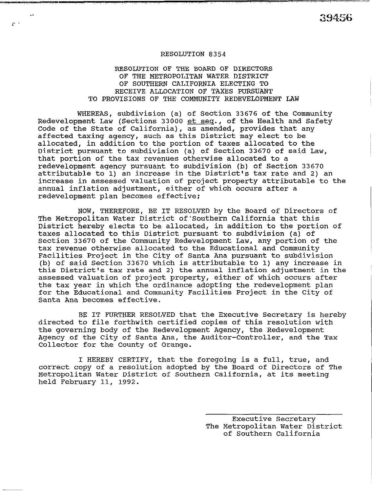$r^{\prime}$ 

## RESOLUTION OF THE BOARD OF DIRECTORS OF THE METROPOLITAN WATER DISTRICT OF SOUTHERN CALIFORNIA ELECTING TO RECEIVE ALLOCATION OF TAXES PURSUANT TO PROVISIONS OF THE COMMUNITY REDEVELOPMENT LAW

WHEREAS, subdivision (a) of Section 33676 of the Community Redevelopment Law (Sections 33000 et seq., of the Health and Safety Code of the State of California), as amended, provides that any affected taxing agency, such as this District may elect to be allocated, in addition to the portion of taxes allocated to the District pursuant to subdivision (a) of Section 33670 of said Law, that portion of the tax revenues otherwise allocated to a redevelopment agency pursuant to subdivision (b) of Section 33670 attributable to 1) an increase in the District's tax rate and 2) an increase in assessed valuation of project property attributable to the annual inflation adjustment, either of which occurs after a redevelopment plan becomes effective;

NOW, THEREFORE, BE IT RESOLVED by the Board of Directors of The Metropolitan Water District of'southern California that this District hereby elects to be allocated, in addition to the portion of taxes allocated to this District pursuant to subdivision (a) of Section 33670 of the Community Redevelopment Law, any portion of the tax revenue otherwise allocated to the Educational and Community Facilities Project in the City of Santa Ana pursuant to subdivision (b) of said Section 33670 which is attributable to 1) any increase in this District's tax rate and 2) the annual inflation adjustment in the assessed valuation of project property, either of which occurs after the tax year in which the ordinance adopting the redevelopment plan for the Educational and Community Facilities Project in the City of Santa Ana becomes effective.

BE IT FURTHER RESOLVED that the Executive Secretary is hereby directed to file forthwith certified copies of this resolution with the governing body of the Redevelopment Agency, the Redevelopment Agency of the City of Santa Ana, the Auditor-Controller, and the Tax Collector for the County of Orange.

I HEREBY CERTIFY, that the foregoing is a full, true, and correct copy of a resolution adopted by the Board of Directors of The Metropolitan Water District of Southern California, at its meeting held February 11, 1992.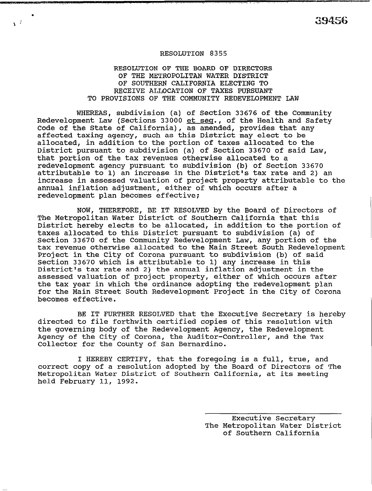-.

### RESOLUTION 8355

.

. .\_ .,"..~ \_...

,.

# RESOLUTION OF THE BOARD OF DIRECTORS OF THE METROPOLITAN WATER DISTRICT OF SOUTHERN CALIFORNIA ELECTING TO RECEIVE ALLOCATION OF TAXES PURSUANT TO PROVISIONS OF THE COMMUNITY REDEVELOPMENT LAW

WHEREAS, subdivision (a) of Section 33676 of the Community Redevelopment Law (Sections 33000 et seq., of the Health and Safety Code of the State of California), as amended, provides that any affected taxing agency, such as this District may elect to be allocated, in addition to the portion of taxes allocated to the District pursuant to subdivision (a) of Section 33670 of said Law, that portion of the tax revenues otherwise allocated to a redevelopment agency pursuant to subdivision (b) of Section 33670 attributable to 1) an increase in the District's tax rate and 2) an increase in assessed valuation of project property attributable to the annual inflation adjustment, either of which occurs after a redevelopment plan becomes effective;

NOW, THEREFORE, BE IT RESOLVED by the Board of Directors of The Metropolitan Water District of Southern California that this District hereby elects to be allocated, in addition to the portion of taxes allocated to this District pursuant to subdivision (a) of Section 33670 of the Community Redevelopment Law, any portion of the tax revenue otherwise allocated to the Main Street South Redevelopment Project in the City of Corona pursuant to subdivision (b) of said Section 33670 which is attributable to 1) any increase in this District's tax rate and 2) the annual inflation adjustment in the assessed valuation of project property, either of which occurs after the tax year in which the ordinance adopting the redevelopment plan for the Main Street South Redevelopment Project in the City of Corona becomes effective.

BE IT FURTHER RESOLVED that the Executive Secretary is hereby directed to file forthwith certified copies of this resolution with the governing body of the Redevelopment Agency, the Redevelopment Agency of the City of Corona, the Auditor-Controller, and the Tax Collector for the County of San Bernardino.

I HEREBY CERTIFY, that the foregoing is a full, true, and correct copy of a resolution adopted by the Board of Directors of The Metropolitan Water District of Southern California, at its meeting held February 11, 1992.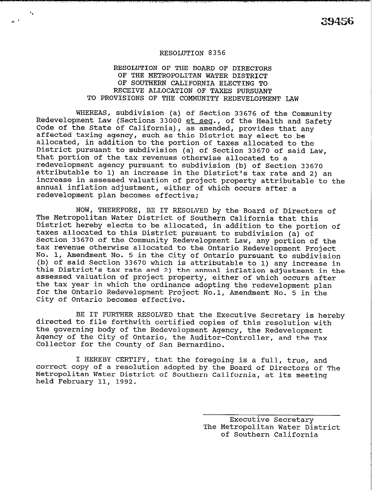### RESOLUTION OF THE BOARD OF DIRECTORS OF THE METROPOLITAN WATER DISTRICT OF SOUTHERN CALIFORNIA ELECTING TO RECEIVE ALLOCATION OF TAXES PURSUANT TO PROVISIONS OF THE COMMUNITY REDEVELOPMENT LAW

WHEREAS, subdivision (a) of Section 33676 of the Community Redevelopment Law (Sections 33000 et seq., of the Health and Safety Code of the State of California), as amended, provides that any affected taxing agency, such as this District may elect to be allocated, in addition to the portion of taxes allocated to the District pursuant to subdivision (a) of Section 33670 of said Law, that portion of the tax revenues otherwise allocated to a redevelopment agency pursuant to subdivision (b) of Section 33670 attributable to 1) an increase in the District's tax rate and 2) an increase in assessed valuation of project property attributable to the annual inflation adjustment, either of which occurs after a redevelopment plan becomes effective;

NOW, THEREFORE, BE IT RESOLVED by the Board of Directors of The Metropolitan Water District of Southern California that this District hereby elects to be allocated, in addition to the portion of taxes allocated to this District pursuant to subdivision (a) of Section 33670 of the Community Redevelopment Law, any portion of the tax revenue otherwise allocated to the Ontario Redevelopment Project No. 1, Amendment No. 5 in the City of Ontario pursuant to subdivision (b) of said Section 33670 which is attributable to 1) any increase in this District's tax rate and 2) the annual inflation adjustment in the assessed valuation of project property, either of which occurs after the tax year in which the ordinance adopting the redevelopment plan for the Ontario Redevelopment Project No.1, Amendment No. 5 in the City of Ontario becomes effective.

BE IT FURTHER RESOLVED that the Executive Secretary is hereby directed to file forthwith certified copies of this resolution with the governing body of the Redevelopment Agency, the Redevelopment Agency of the City of Ontario, the Auditor-Controller, and the Tax Collector for the County of San Bernardino.

I HEREBY CERTIFY, that the foregoing is a full, true, and correct copy of a resolution adopted by the Board of Directors of The Metropolitan Water District of Southern California, at its meeting held February 11, 1992.